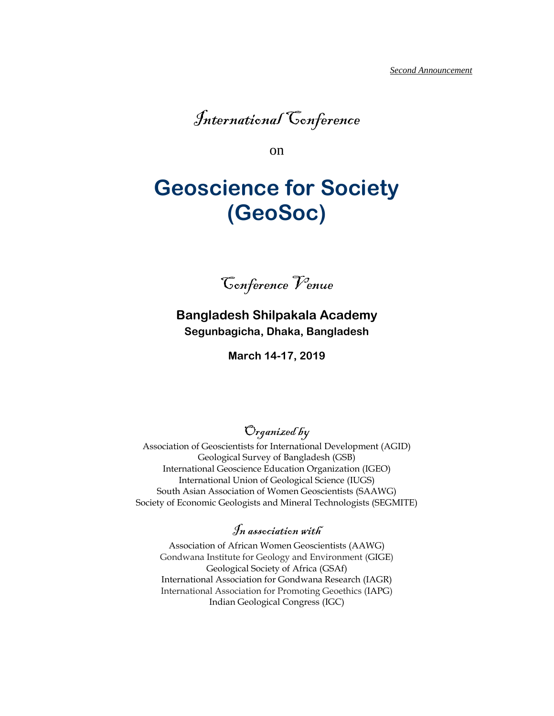

on

# **Geoscience for Society (GeoSoc)**

Conference Venue

**Bangladesh Shilpakala Academy Segunbagicha, Dhaka, Bangladesh**

**March 14-17, 2019**

Organized by

Association of Geoscientists for International Development (AGID) Geological Survey of Bangladesh (GSB) International Geoscience Education Organization (IGEO) International Union of Geological Science (IUGS) South Asian Association of Women Geoscientists (SAAWG) Society of Economic Geologists and Mineral Technologists (SEGMITE)

# In association with

Association of African Women Geoscientists (AAWG) Gondwana Institute for Geology and Environment (GIGE) Geological Society of Africa (GSAf) International Association for Gondwana Research (IAGR) International Association for Promoting Geoethics (IAPG) Indian Geological Congress (IGC)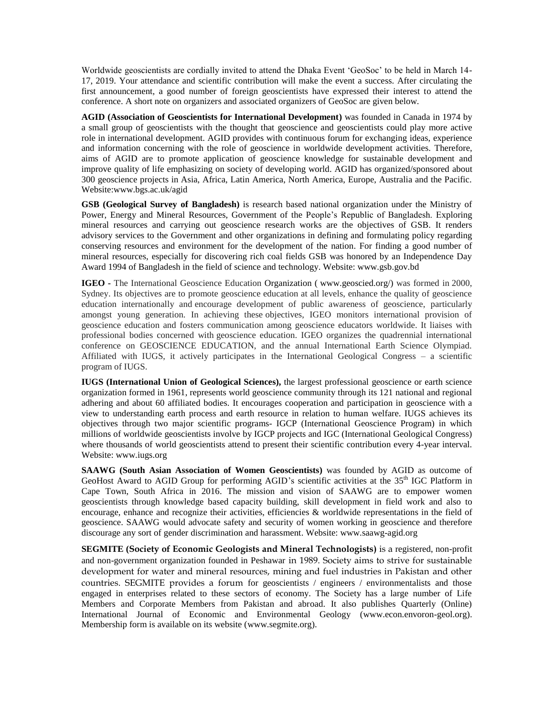Worldwide geoscientists are cordially invited to attend the Dhaka Event 'GeoSoc' to be held in March 14- 17, 2019. Your attendance and scientific contribution will make the event a success. After circulating the first announcement, a good number of foreign geoscientists have expressed their interest to attend the conference. A short note on organizers and associated organizers of GeoSoc are given below.

**AGID (Association of Geoscientists for International Development)** was founded in Canada in 1974 by a small group of geoscientists with the thought that geoscience and geoscientists could play more active role in international development. AGID provides with continuous forum for exchanging ideas, experience and information concerning with the role of geoscience in worldwide development activities. Therefore, aims of AGID are to promote application of geoscience knowledge for sustainable development and improve quality of life emphasizing on society of developing world. AGID has organized/sponsored about 300 geoscience projects in Asia, Africa, Latin America, North America, Europe, Australia and the Pacific. Website:www.bgs.ac.uk/agid

**GSB (Geological Survey of Bangladesh)** is research based national organization under the Ministry of Power, Energy and Mineral Resources, Government of the People's Republic of Bangladesh. Exploring mineral resources and carrying out geoscience research works are the objectives of GSB. It renders advisory services to the Government and other organizations in defining and formulating policy regarding conserving resources and environment for the development of the nation. For finding a good number of mineral resources, especially for discovering rich coal fields GSB was honored by an Independence Day Award 1994 of Bangladesh in the field of science and technology. Website: www.gsb.gov.bd

**IGEO -** The International Geoscience Education Organization ( [www.geoscied.org/\)](http://www.geoscied.org/) was formed in 2000, Sydney. Its objectives are to promote geoscience education at all levels, enhance the quality of geoscience education internationally and encourage development of public awareness of geoscience, particularly amongst young generation. In achieving these objectives, IGEO monitors international provision of geoscience education and fosters communication among geoscience educators worldwide. It liaises with professional bodies concerned with geoscience education. IGEO organizes the quadrennial international conference on GEOSCIENCE EDUCATION, and the annual International Earth Science Olympiad. Affiliated with IUGS, it actively participates in the International Geological Congress – a scientific program of IUGS.

**IUGS (International Union of Geological Sciences),** the largest professional geoscience or earth science organization formed in 1961, represents world geoscience community through its 121 national and regional adhering and about 60 affiliated bodies. It encourages cooperation and participation in geoscience with a view to understanding earth process and earth resource in relation to human welfare. IUGS achieves its objectives through two major scientific programs- IGCP (International Geoscience Program) in which millions of worldwide geoscientists involve by IGCP projects and IGC (International Geological Congress) where thousands of world geoscientists attend to present their scientific contribution every 4-year interval. Website: www.iugs.org

**SAAWG (South Asian Association of Women Geoscientists)** was founded by AGID as outcome of GeoHost Award to AGID Group for performing AGID's scientific activities at the 35<sup>th</sup> IGC Platform in Cape Town, South Africa in 2016. The mission and vision of SAAWG are to empower women geoscientists through knowledge based capacity building, skill development in field work and also to encourage, enhance and recognize their activities, efficiencies & worldwide representations in the field of geoscience. SAAWG would advocate safety and security of women working in geoscience and therefore discourage any sort of gender discrimination and harassment. Website: [www.saawg-agid.org](http://www.saawg-agid.org/)

**SEGMITE (Society of Economic Geologists and Mineral Technologists)** is a registered, non-profit and non-government organization founded in Peshawar in 1989. Society aims to strive for sustainable development for water and mineral resources, mining and fuel industries in Pakistan and other countries. SEGMITE provides a forum for geoscientists / engineers / environmentalists and those engaged in enterprises related to these sectors of economy. The Society has a large number of Life Members and Corporate Members from Pakistan and abroad. It also publishes Quarterly (Online) International Journal of Economic and Environmental Geology [\(www.econ.envoron-geol.org\)](http://www.econ.envoron-geol.org/). Membership form is available on its website [\(www.segmite.org\)](http://www.segmite.org/).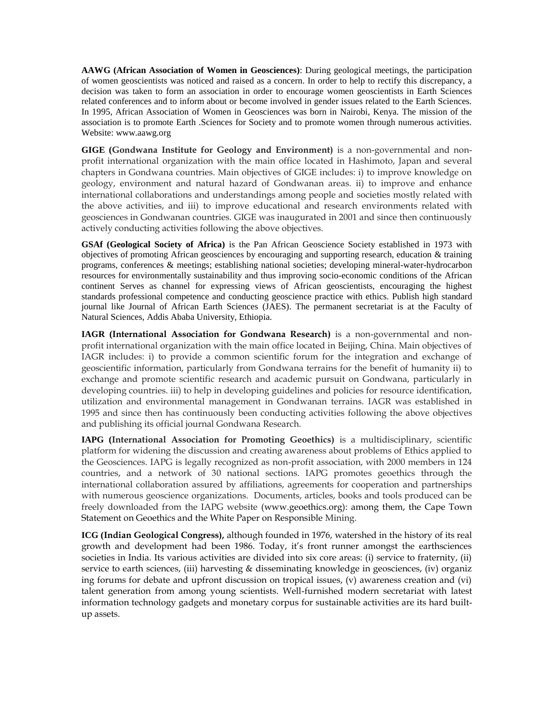**AAWG (African Association of Women in Geosciences)**: During geological meetings, the participation of women geoscientists was noticed and raised as a concern. In order to help to rectify this discrepancy, a decision was taken to form an association in order to encourage women geoscientists in Earth Sciences related conferences and to inform about or become involved in gender issues related to the Earth Sciences. In 1995, African Association of Women in Geosciences was born in Nairobi, Kenya. The mission of the association is to promote Earth .Sciences for Society and to promote women through numerous activities. Website: [www.aawg.org](http://www.aawg.org/) 

**GIGE (Gondwana Institute for Geology and Environment)** is a non-governmental and nonprofit international organization with the main office located in Hashimoto, Japan and several chapters in Gondwana countries. Main objectives of GIGE includes: i) to improve knowledge on geology, environment and natural hazard of Gondwanan areas. ii) to improve and enhance international collaborations and understandings among people and societies mostly related with the above activities, and iii) to improve educational and research environments related with geosciences in Gondwanan countries. GIGE was inaugurated in 2001 and since then continuously actively conducting activities following the above objectives.

**GSAf (Geological Society of Africa)** is the Pan African Geoscience Society established in 1973 with objectives of promoting African geosciences by encouraging and supporting research, education & training programs, conferences & meetings; establishing national societies; developing mineral-water-hydrocarbon resources for environmentally sustainability and thus improving socio-economic conditions of the African continent Serves as channel for expressing views of African geoscientists, encouraging the highest standards professional competence and conducting geoscience practice with ethics. Publish high standard journal like Journal of African Earth Sciences (JAES). The permanent secretariat is at the Faculty of Natural Sciences, Addis Ababa University, Ethiopia.

**IAGR (International Association for Gondwana Research)** is a non-governmental and nonprofit international organization with the main office located in Beijing, China. Main objectives of IAGR includes: i) to provide a common scientific forum for the integration and exchange of geoscientific information, particularly from Gondwana terrains for the benefit of humanity ii) to exchange and promote scientific research and academic pursuit on Gondwana, particularly in developing countries. iii) to help in developing guidelines and policies for resource identification, utilization and environmental management in Gondwanan terrains. IAGR was established in 1995 and since then has continuously been conducting activities following the above objectives and publishing its official journal Gondwana Research.

**IAPG (International Association for Promoting Geoethics)** is a multidisciplinary, scientific platform for widening the discussion and creating awareness about problems of Ethics applied to the Geosciences. IAPG is legally recognized as non-profit association, with 2000 members in 124 countries, and a network of 30 national sections. IAPG promotes geoethics through the international collaboration assured by affiliations, agreements for cooperation and partnerships with numerous geoscience organizations. Documents, articles, books and tools produced can be freely downloaded from the IAPG website [\(www.geoethics.org\)](http://www.geoethics.org/): among them, the Cape Town Statement on Geoethics and the White Paper on Responsible Mining.

**ICG (Indian Geological Congress),** although founded in 1976, watershed in the history of its real growth and development had been 1986. Today, it's front runner amongst the earthsciences societies in India. Its various activities are divided into six core areas: (i) service to fraternity, (ii) service to earth sciences, (iii) harvesting & disseminating knowledge in geosciences, (iv) organiz ing forums for debate and upfront discussion on tropical issues, (v) awareness creation and (vi) talent generation from among young scientists. Well-furnished modern secretariat with latest information technology gadgets and monetary corpus for sustainable activities are its hard builtup assets.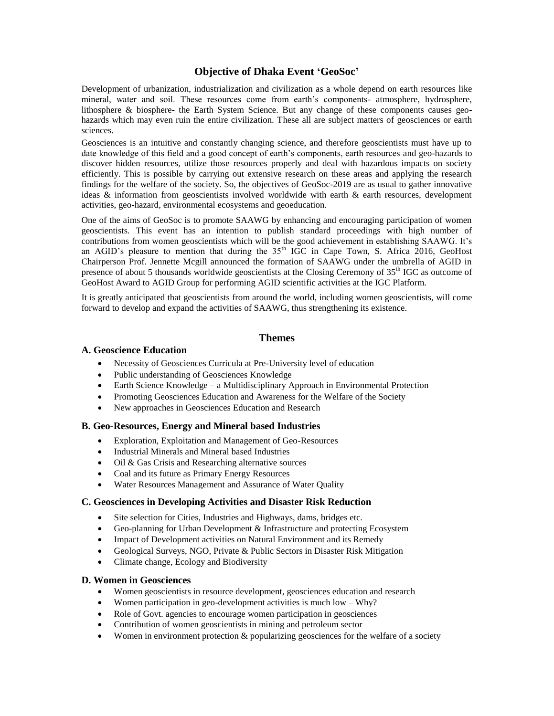#### **Objective of Dhaka Event 'GeoSoc'**

Development of urbanization, industrialization and civilization as a whole depend on earth resources like mineral, water and soil. These resources come from earth's components- atmosphere, hydrosphere, lithosphere & biosphere- the Earth System Science. But any change of these components causes geohazards which may even ruin the entire civilization. These all are subject matters of geosciences or earth sciences.

Geosciences is an intuitive and constantly changing science, and therefore geoscientists must have up to date knowledge of this field and a good concept of earth's components, earth resources and geo-hazards to discover hidden resources, utilize those resources properly and deal with hazardous impacts on society efficiently. This is possible by carrying out extensive research on these areas and applying the research findings for the welfare of the society. So, the objectives of GeoSoc-2019 are as usual to gather innovative ideas  $\&$  information from geoscientists involved worldwide with earth  $\&$  earth resources, development activities, geo-hazard, environmental ecosystems and geoeducation.

One of the aims of GeoSoc is to promote SAAWG by enhancing and encouraging participation of women geoscientists. This event has an intention to publish standard proceedings with high number of contributions from women geoscientists which will be the good achievement in establishing SAAWG. It's an AGID's pleasure to mention that during the  $35<sup>th</sup>$  IGC in Cape Town, S. Africa 2016, GeoHost Chairperson Prof. Jennette Mcgill announced the formation of SAAWG under the umbrella of AGID in presence of about 5 thousands worldwide geoscientists at the Closing Ceremony of  $35<sup>th</sup>$  IGC as outcome of GeoHost Award to AGID Group for performing AGID scientific activities at the IGC Platform.

It is greatly anticipated that geoscientists from around the world, including women geoscientists, will come forward to develop and expand the activities of SAAWG, thus strengthening its existence.

#### **Themes**

#### **A. Geoscience Education**

- Necessity of Geosciences Curricula at Pre-University level of education
- Public understanding of Geosciences Knowledge
- Earth Science Knowledge a Multidisciplinary Approach in Environmental Protection
- Promoting Geosciences Education and Awareness for the Welfare of the Society
- New approaches in Geosciences Education and Research

#### **B. Geo-Resources, Energy and Mineral based Industries**

- Exploration, Exploitation and Management of Geo-Resources
- Industrial Minerals and Mineral based Industries
- Oil & Gas Crisis and Researching alternative sources
- Coal and its future as Primary Energy Resources
- Water Resources Management and Assurance of Water Quality

#### **C. Geosciences in Developing Activities and Disaster Risk Reduction**

- Site selection for Cities, Industries and Highways, dams, bridges etc.
- Geo-planning for Urban Development & Infrastructure and protecting Ecosystem
- Impact of Development activities on Natural Environment and its Remedy
- Geological Surveys, NGO, Private & Public Sectors in Disaster Risk Mitigation
- Climate change, Ecology and Biodiversity

#### **D. Women in Geosciences**

- Women geoscientists in resource development, geosciences education and research
- Women participation in geo-development activities is much low Why?
- Role of Govt. agencies to encourage women participation in geosciences
- Contribution of women geoscientists in mining and petroleum sector
- Women in environment protection & popularizing geosciences for the welfare of a society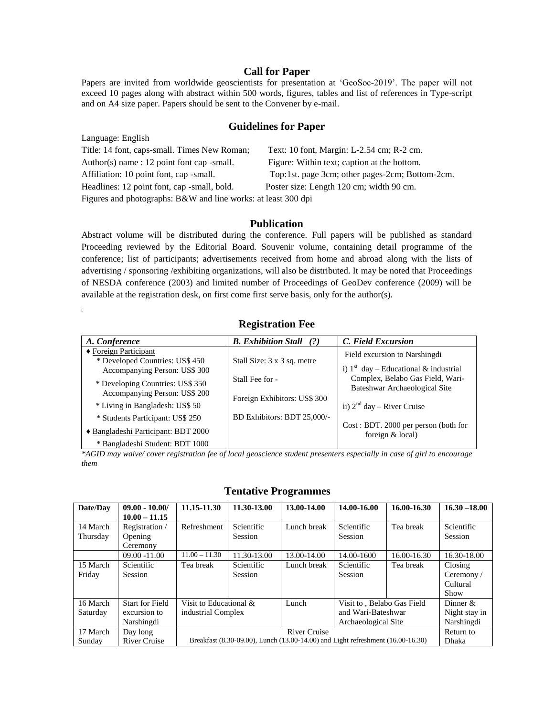#### **Call for Paper**

Papers are invited from worldwide geoscientists for presentation at 'GeoSoc-2019'. The paper will not exceed 10 pages along with abstract within 500 words, figures, tables and list of references in Type-script and on A4 size paper. Papers should be sent to the Convener by e-mail.

#### **Guidelines for Paper**

| Language: English                                             |                                                 |
|---------------------------------------------------------------|-------------------------------------------------|
| Title: 14 font, caps-small. Times New Roman;                  | Text: 10 font, Margin: L-2.54 cm; R-2 cm.       |
| Author(s) name: $12$ point font cap -small.                   | Figure: Within text; caption at the bottom.     |
| Affiliation: 10 point font, cap -small.                       | Top:1st. page 3cm; other pages-2cm; Bottom-2cm. |
| Headlines: 12 point font, cap -small, bold.                   | Poster size: Length 120 cm; width 90 cm.        |
| Figures and photographs: B&W and line works: at least 300 dpi |                                                 |

#### **Publication**

Abstract volume will be distributed during the conference. Full papers will be published as standard Proceeding reviewed by the Editorial Board. Souvenir volume, containing detail programme of the conference; list of participants; advertisements received from home and abroad along with the lists of advertising / sponsoring /exhibiting organizations, will also be distributed. It may be noted that Proceedings of NESDA conference (2003) and limited number of Proceedings of GeoDev conference (2009) will be available at the registration desk, on first come first serve basis, only for the author(s). **[**

## **Registration Fee**

| A. Conference                       | <b>B.</b> Exhibition Stall<br>(?) | C. Field Excursion                                         |
|-------------------------------------|-----------------------------------|------------------------------------------------------------|
| $\triangle$ Foreign Participant     |                                   | Field excursion to Narshingdi                              |
| * Developed Countries: US\$ 450     | Stall Size: 3 x 3 sq. metre       |                                                            |
| Accompanying Person: US\$ 300       |                                   | i) $1st$ day – Educational & industrial                    |
| * Developing Countries: US\$ 350    | Stall Fee for -                   | Complex, Belabo Gas Field, Wari-                           |
| Accompanying Person: US\$ 200       |                                   | Bateshwar Archaeological Site                              |
|                                     | Foreign Exhibitors: US\$ 300      |                                                            |
| * Living in Bangladesh: US\$ 50     |                                   | ii) $2nd$ day – River Cruise                               |
| * Students Participant: US\$ 250    | BD Exhibitors: BDT 25,000/-       |                                                            |
| ◆ Bangladeshi Participant: BDT 2000 |                                   | Cost: BDT. 2000 per person (both for<br>foreign $&$ local) |
| * Bangladeshi Student: BDT 1000     |                                   |                                                            |

*\*AGID may waive/ cover registration fee of local geoscience student presenters especially in case of girl to encourage them* 

#### **Tentative Programmes**

| Date/Dav | $09.00 - 10.00/$       | 11.15-11.30                                                                     | 11.30-13.00 | 13.00-14.00 | 14.00-16.00                | 16.00-16.30 | $16.30 - 18.00$ |
|----------|------------------------|---------------------------------------------------------------------------------|-------------|-------------|----------------------------|-------------|-----------------|
|          | $10.00 - 11.15$        |                                                                                 |             |             |                            |             |                 |
| 14 March | Registration /         | Refreshment                                                                     | Scientific  | Lunch break | Scientific                 | Tea break   | Scientific      |
| Thursday | Opening                |                                                                                 | Session     |             | Session                    |             | Session         |
|          | Ceremony               |                                                                                 |             |             |                            |             |                 |
|          | $09.00 - 11.00$        | $11.00 - 11.30$                                                                 | 11.30-13.00 | 13.00-14.00 | 14.00-1600                 | 16.00-16.30 | 16.30-18.00     |
| 15 March | Scientific             | Tea break                                                                       | Scientific  | Lunch break | Scientific                 | Tea break   | Closing         |
| Friday   | Session                |                                                                                 | Session     |             | Session                    |             | Ceremony /      |
|          |                        |                                                                                 |             |             |                            |             | Cultural        |
|          |                        |                                                                                 |             |             |                            |             | Show            |
| 16 March | <b>Start for Field</b> | Visit to Educational &                                                          |             | Lunch       | Visit to, Belabo Gas Field |             | Dinner $&$      |
| Saturday | excursion to           | industrial Complex                                                              |             |             | and Wari-Bateshwar         |             | Night stay in   |
|          | Narshingdi             |                                                                                 |             |             | Archaeological Site        |             | Narshingdi      |
| 17 March | Day long               | River Cruise                                                                    |             |             |                            | Return to   |                 |
| Sunday   | <b>River Cruise</b>    | Breakfast (8.30-09.00), Lunch (13.00-14.00) and Light refreshment (16.00-16.30) |             |             |                            | Dhaka       |                 |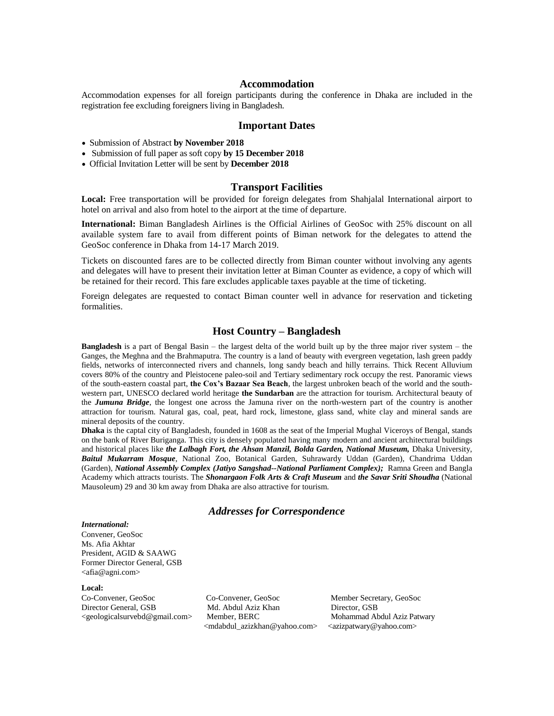#### **Accommodation**

Accommodation expenses for all foreign participants during the conference in Dhaka are included in the registration fee excluding foreigners living in Bangladesh.

#### **Important Dates**

- Submission of Abstract **by November 2018**
- Submission of full paper as soft copy **by 15 December 2018**
- Official Invitation Letter will be sent by **December 2018**

#### **Transport Facilities**

**Local:** Free transportation will be provided for foreign delegates from Shahjalal International airport to hotel on arrival and also from hotel to the airport at the time of departure.

**International:** Biman Bangladesh Airlines is the Official Airlines of GeoSoc with 25% discount on all available system fare to avail from different points of Biman network for the delegates to attend the GeoSoc conference in Dhaka from 14-17 March 2019.

Tickets on discounted fares are to be collected directly from Biman counter without involving any agents and delegates will have to present their invitation letter at Biman Counter as evidence, a copy of which will be retained for their record. This fare excludes applicable taxes payable at the time of ticketing.

Foreign delegates are requested to contact Biman counter well in advance for reservation and ticketing formalities.

#### **Host Country – Bangladesh**

**Bangladesh** is a part of Bengal Basin – the largest delta of the world built up by the three major river system – the Ganges, the Meghna and the Brahmaputra. The country is a land of beauty with evergreen vegetation, lash green paddy fields, networks of interconnected rivers and channels, long sandy beach and hilly terrains. Thick Recent Alluvium covers 80% of the country and Pleistocene paleo-soil and Tertiary sedimentary rock occupy the rest. Panoramic views of the south-eastern coastal part, **the Cox's Bazaar Sea Beach**, the largest unbroken beach of the world and the southwestern part, UNESCO declared world heritage **the Sundarban** are the attraction for tourism. Architectural beauty of the *Jumuna Bridge*, the longest one across the Jamuna river on the north-western part of the country is another attraction for tourism. Natural gas, coal, peat, hard rock, limestone, glass sand, white clay and mineral sands are mineral deposits of the country.

**Dhaka** is the captal city of Bangladesh, founded in 1608 as the seat of the Imperial Mughal Viceroys of Bengal, stands on the bank of River Buriganga. This city is densely populated having many modern and ancient architectural buildings and historical places like *the Lalbagh Fort, the Ahsan Manzil, Bolda Garden, National Museum, Dhaka University, Baitul Mukarram Mosque*, National Zoo, Botanical Garden, Suhrawardy Uddan (Garden), Chandrima Uddan (Garden), *National Assembly Complex (Jatiyo Sangshad--National Parliament Complex);* Ramna Green and Bangla Academy which attracts tourists. The *Shonargaon Folk Arts & Craft Museum* and *the Savar Sriti Shoudha* (National Mausoleum) 29 and 30 km away from Dhaka are also attractive for tourism.

#### *Addresses for Correspondence*

#### *International:*

Convener, GeoSoc Ms. Afia Akhtar President, AGID & SAAWG Former Director General, GSB <afia@agni.com>

#### **Local:**

Director General, GSB Md. Abdul Aziz Khan Director, GSB<br>
Seeologicalsurvebd@gmail.com> Member, BERC Mohammad Ab [<geologicalsurvebd@gmail.com>](mailto:geologicalsurvebd@gmail.com) Member, BERC Mohammad Abdul Aziz Patwary

Co-Convener, GeoSoc Co-Convener, GeoSoc Member Secretary, GeoSoc [<mdabdul\\_azizkhan@yahoo.com>](mailto:mdabdul_azizkhan@yahoo.com) [<azizpatwary@yahoo.com>](mailto:azizpatwary@yahoo.com)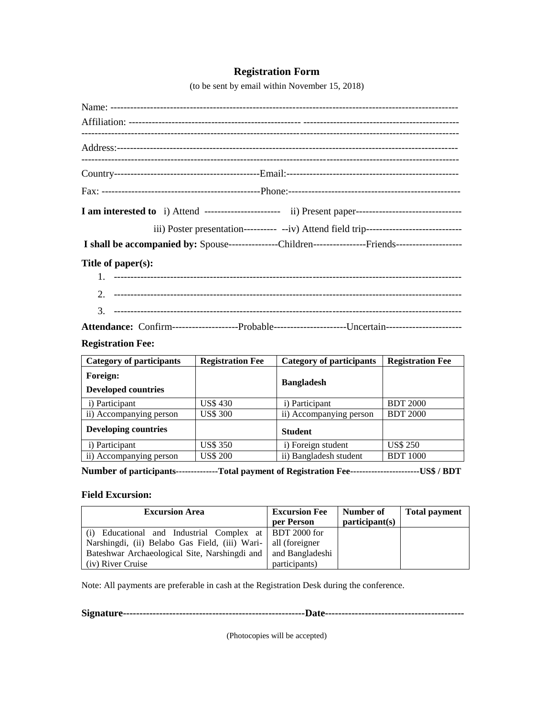### **Registration Form**

(to be sent by email within November 15, 2018)

| iii) Poster presentation---------- -- iv) Attend field trip----------------------------              |
|------------------------------------------------------------------------------------------------------|
|                                                                                                      |
| Title of $paper(s)$ :                                                                                |
|                                                                                                      |
|                                                                                                      |
|                                                                                                      |
| Attendance: Confirm--------------------Probable----------------------Uncertain---------------------- |

# **Registration Fee:**

| <b>Category of participants</b>        | <b>Registration Fee</b> | <b>Category of participants</b> | <b>Registration Fee</b> |
|----------------------------------------|-------------------------|---------------------------------|-------------------------|
| Foreign:<br><b>Developed countries</b> |                         | <b>Bangladesh</b>               |                         |
| i) Participant                         | US\$ 430                | i) Participant                  | <b>BDT 2000</b>         |
| ii) Accompanying person                | <b>US\$ 300</b>         | ii) Accompanying person         | <b>BDT 2000</b>         |
| <b>Developing countries</b>            |                         | <b>Student</b>                  |                         |
| i) Participant                         | <b>US\$ 350</b>         | i) Foreign student              | <b>US\$ 250</b>         |
| ii) Accompanying person                | <b>US\$ 200</b>         | ii) Bangladesh student          | <b>BDT</b> 1000         |

**Number of participants--------------Total payment of Registration Fee-----------------------US\$ / BDT**

#### **Field Excursion:**

| <b>Excursion Area</b>                                           | <b>Excursion Fee</b> | Number of      | <b>Total payment</b> |
|-----------------------------------------------------------------|----------------------|----------------|----------------------|
|                                                                 | per Person           | participant(s) |                      |
| (i) Educational and Industrial Complex at BDT 2000 for          |                      |                |                      |
| Narshingdi, (ii) Belabo Gas Field, (iii) Wari-   all (foreigner |                      |                |                      |
| Bateshwar Archaeological Site, Narshingdi and                   | and Bangladeshi      |                |                      |
| (iv) River Cruise                                               | participants)        |                |                      |

Note: All payments are preferable in cash at the Registration Desk during the conference.

**Signature-------------------------------------------------------Date------------------------------------------**

(Photocopies will be accepted)